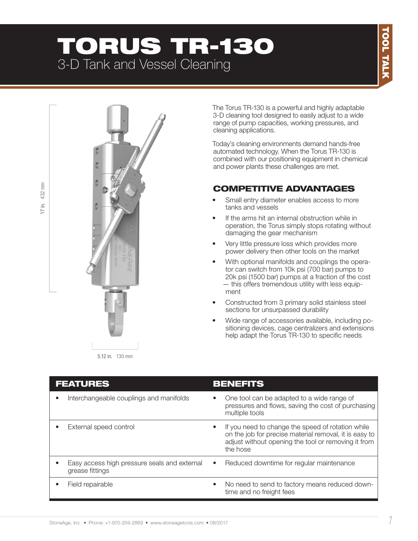# TORUS TR-130 3-D Tank and Vessel Cleaning



The Torus TR-130 is a powerful and highly adaptable 3-D cleaning tool designed to easily adjust to a wide range of pump capacities, working pressures, and cleaning applications.

Today's cleaning environments demand hands-free automated technology. When the Torus TR-130 is combined with our positioning equipment in chemical and power plants these challenges are met.

### COMPETITIVE ADVANTAGES

- Small entry diameter enables access to more tanks and vessels
- If the arms hit an internal obstruction while in operation, the Torus simply stops rotating without damaging the gear mechanism
- Very little pressure loss which provides more power delivery then other tools on the market
- With optional manifolds and couplings the operator can switch from 10k psi (700 bar) pumps to 20k psi (1500 bar) pumps at a fraction of the cost — this offers tremendous utility with less equipment
- Constructed from 3 primary solid stainless steel sections for unsurpassed durability
- Wide range of accessories available, including positioning devices, cage centralizers and extensions help adapt the Torus TR-130 to specific needs

| <b>FEATURES</b>                                                 |           | <b>BENEFITS</b>                                                                                                                                                                |
|-----------------------------------------------------------------|-----------|--------------------------------------------------------------------------------------------------------------------------------------------------------------------------------|
| Interchangeable couplings and manifolds                         |           | One tool can be adapted to a wide range of<br>pressures and flows, saving the cost of purchasing<br>multiple tools                                                             |
| External speed control                                          | ٠         | If you need to change the speed of rotation while<br>on the job for precise material removal, it is easy to<br>adjust without opening the tool or removing it from<br>the hose |
| Easy access high pressure seals and external<br>grease fittings | $\bullet$ | Reduced downtime for regular maintenance                                                                                                                                       |
| Field repairable                                                | $\bullet$ | No need to send to factory means reduced down-<br>time and no freight fees                                                                                                     |

432 mm 17 in. 432 mm Ξ.  $\overline{C}$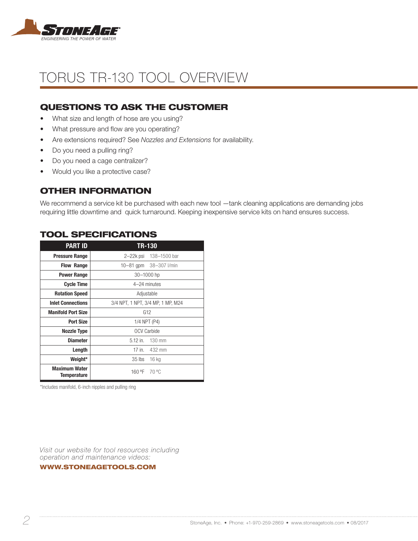

## TORUS TR-130 TOOL OVERVIEW

### QUESTIONS TO ASK THE CUSTOMER

- What size and length of hose are you using?
- What pressure and flow are you operating?
- Are extensions required? See *Nozzles and Extensions* for availability.
- Do you need a pulling ring?
- Do you need a cage centralizer?
- Would you like a protective case?

#### OTHER INFORMATION

We recommend a service kit be purchased with each new tool —tank cleaning applications are demanding jobs requiring little downtime and quick turnaround. Keeping inexpensive service kits on hand ensures success.

| <b>PART ID</b>                      | <b>TR-130</b>                     |  |  |  |  |  |
|-------------------------------------|-----------------------------------|--|--|--|--|--|
| <b>Pressure Range</b>               | 138-1500 bar<br>2–22k psi         |  |  |  |  |  |
| <b>Flow Range</b>                   | 38-307 l/min<br>$10 - 81$ gpm     |  |  |  |  |  |
| <b>Power Range</b>                  | 30-1000 hp                        |  |  |  |  |  |
| <b>Cycle Time</b>                   | 4-24 minutes                      |  |  |  |  |  |
| <b>Rotation Speed</b>               | Adjustable                        |  |  |  |  |  |
| <b>Inlet Connections</b>            | 3/4 NPT, 1 NPT, 3/4 MP, 1 MP, M24 |  |  |  |  |  |
| <b>Manifold Port Size</b>           | G12                               |  |  |  |  |  |
| <b>Port Size</b>                    | 1/4 NPT (P4)                      |  |  |  |  |  |
| <b>Nozzle Type</b>                  | <b>OCV Carbide</b>                |  |  |  |  |  |
| <b>Diameter</b>                     | $5.12$ in.<br>130 mm              |  |  |  |  |  |
| Length                              | 17 in.<br>432 mm                  |  |  |  |  |  |
| Weight*                             | 35 lbs<br>16 kg                   |  |  |  |  |  |
| <b>Maximum Water</b><br>Temperature | 160 °F<br>70 °C                   |  |  |  |  |  |

#### TOOL SPECIFICATIONS

\*Includes manifold, 6-inch nipples and pulling ring

*Visit our website for tool resources including operation and maintenance videos:* 

WWW.STONEAGETOOLS.COM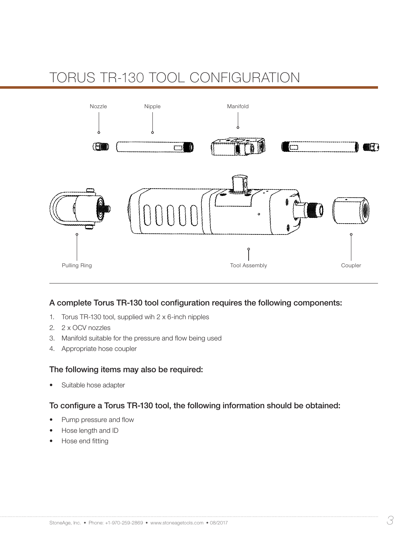# TORUS TR-130 TOOL CONFIGURATION



#### A complete Torus TR-130 tool configuration requires the following components:

- 1. Torus TR-130 tool, supplied wih 2 x 6-inch nipples
- 2. 2 x OCV nozzles
- 3. Manifold suitable for the pressure and flow being used
- 4. Appropriate hose coupler

#### The following items may also be required:

• Suitable hose adapter

#### To configure a Torus TR-130 tool, the following information should be obtained:

- Pump pressure and flow
- Hose length and ID
- Hose end fitting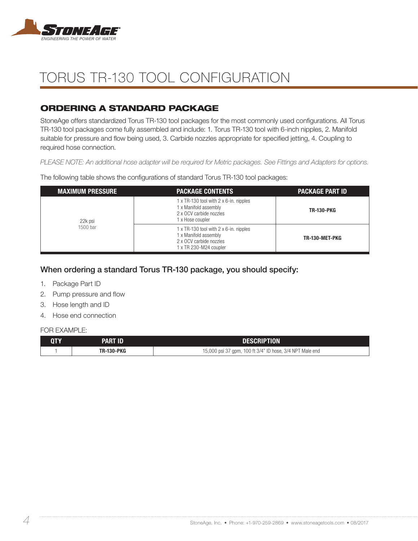

# TORUS TR-130 TOOL CONFIGURATION

### ORDERING A STANDARD PACKAGE

StoneAge offers standardized Torus TR-130 tool packages for the most commonly used configurations. All Torus TR-130 tool packages come fully assembled and include: 1. Torus TR-130 tool with 6-inch nipples, 2. Manifold suitable for pressure and flow being used, 3. Carbide nozzles appropriate for specified jetting, 4. Coupling to required hose connection.

*PLEASE NOTE: An additional hose adapter will be required for Metric packages. See Fittings and Adapters for options.*

The following table shows the configurations of standard Torus TR-130 tool packages:

| <b>MAXIMUM PRESSURE</b> | <b>PACKAGE CONTENTS</b>                                                                                              | <b>PACKAGE PART ID</b> |
|-------------------------|----------------------------------------------------------------------------------------------------------------------|------------------------|
| 22k psi                 | 1 x TR-130 tool with 2 x 6-in. nipples<br>1 x Manifold assembly<br>2 x OCV carbide nozzles<br>1 x Hose coupler       | <b>TR-130-PKG</b>      |
| 1500 bar                | 1 x TR-130 tool with 2 x 6-in. nipples<br>1 x Manifold assembly<br>2 x OCV carbide nozzles<br>1 x TR 230-M24 coupler | TR-130-MET-PKG         |

#### When ordering a standard Torus TR-130 package, you should specify:

- 1. Package Part ID
- 2. Pump pressure and flow
- 3. Hose length and ID
- 4. Hose end connection

#### FOR EXAMPLE:

| <b>QTY</b> | PART ID           | DESCRIPTION                                              |
|------------|-------------------|----------------------------------------------------------|
|            | <b>TR-130-PKG</b> | 15,000 psi 37 gpm, 100 ft 3/4" ID hose, 3/4 NPT Male end |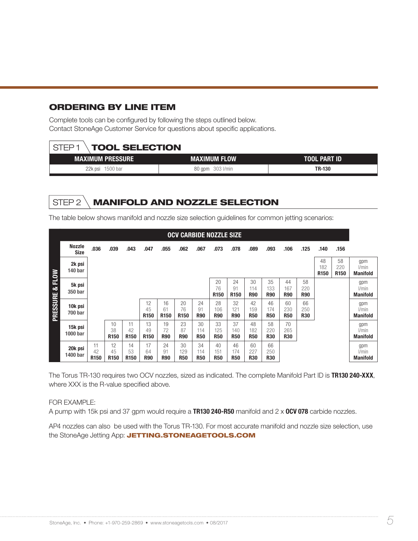#### ORDERING BY LINE ITEM

Complete tools can be configured by following the steps outlined below. Contact StoneAge Customer Service for questions about specific applications.

| STED 1                  | <b>TOOL SELECTION</b> |              |  |  |  |  |  |  |  |  |  |  |
|-------------------------|-----------------------|--------------|--|--|--|--|--|--|--|--|--|--|
| <b>MAXIMUM PRESSURE</b> | MAXIMUM FLOW          | TOOL PART ID |  |  |  |  |  |  |  |  |  |  |
| 22k psi 1500 bar        | 80 gpm 303 l/min      | TR-130       |  |  |  |  |  |  |  |  |  |  |

### STEP 2 \**MANIFOLD AND NOZZLE SELECTION**

The table below shows manifold and nozzle size selection guidelines for common jetting scenarios:

| <b>OCV CARBIDE NOZZLE SIZE</b> |                              |                              |                              |                              |                              |                              |                              |                         |                         |                              |                         |                         |                         |                         |                               |                          |                                 |
|--------------------------------|------------------------------|------------------------------|------------------------------|------------------------------|------------------------------|------------------------------|------------------------------|-------------------------|-------------------------|------------------------------|-------------------------|-------------------------|-------------------------|-------------------------|-------------------------------|--------------------------|---------------------------------|
|                                | <b>Nozzle</b><br><b>Size</b> | .036                         | .039                         | .043                         | .047                         | .055                         | .062                         | .067                    | .073                    | .078                         | .089                    | .093                    | .106                    | .125                    | .140                          | .156                     |                                 |
|                                | 2k psi<br><b>140 bar</b>     |                              |                              |                              |                              |                              |                              |                         |                         |                              |                         |                         |                         |                         | 48<br>182<br>R <sub>150</sub> | 58<br>220<br><b>R150</b> | gpm<br>l/min<br><b>Manifold</b> |
|                                | 5k psi<br>350 bar            |                              |                              |                              |                              |                              |                              |                         | 20<br>76<br><b>R150</b> | 24<br>91<br>R <sub>150</sub> | 30<br>114<br><b>R90</b> | 35<br>133<br><b>R90</b> | 44<br>167<br><b>R90</b> | 58<br>220<br><b>R90</b> |                               |                          | gpm<br>l/min<br><b>Manifold</b> |
| PRESSURE & FLOW                | 10k psi<br><b>700 bar</b>    |                              |                              |                              | 12<br>45<br><b>R150</b>      | 16<br>61<br>R <sub>150</sub> | 20<br>76<br>R <sub>150</sub> | 24<br>91<br><b>R90</b>  | 28<br>106<br><b>R90</b> | 32<br>121<br><b>R90</b>      | 42<br>159<br><b>R50</b> | 46<br>174<br><b>R50</b> | 60<br>230<br><b>R50</b> | 66<br>250<br><b>R30</b> |                               |                          | gpm<br>l/min<br><b>Manifold</b> |
|                                | 15k psi<br>1000 bar          |                              | 10<br>38<br>R <sub>150</sub> | 11<br>42<br>R <sub>150</sub> | 13<br>49<br>R <sub>150</sub> | 19<br>72<br><b>R90</b>       | 23<br>87<br><b>R90</b>       | 30<br>114<br><b>R50</b> | 33<br>125<br><b>R50</b> | 37<br>140<br><b>R50</b>      | 48<br>182<br><b>R50</b> | 58<br>220<br><b>R30</b> | 70<br>265<br><b>R30</b> |                         |                               |                          | gpm<br>l/min<br><b>Manifold</b> |
|                                | 20k psi<br>1400 bar          | 11<br>42<br>R <sub>150</sub> | 12<br>45<br>R <sub>150</sub> | 14<br>53<br>R <sub>150</sub> | 17<br>64<br><b>R90</b>       | 24<br>91<br><b>R90</b>       | 30<br>129<br><b>R50</b>      | 34<br>114<br><b>R50</b> | 40<br>151<br><b>R50</b> | 46<br>174<br><b>R50</b>      | 60<br>227<br><b>R30</b> | 66<br>250<br><b>R30</b> |                         |                         |                               |                          | gpm<br>l/min<br><b>Manifold</b> |

The Torus TR-130 requires two OCV nozzles, sized as indicated. The complete Manifold Part ID is TR130 240-XXX, where XXX is the R-value specified above.

#### FOR EXAMPLE:

A pump with 15k psi and 37 gpm would require a **TR130 240-R50** manifold and  $2 \times 0$ CV 078 carbide nozzles.

AP4 nozzles can also be used with the Torus TR-130. For most accurate manifold and nozzle size selection, use the StoneAge Jetting App: JETTING.STONEAGETOOLS.COM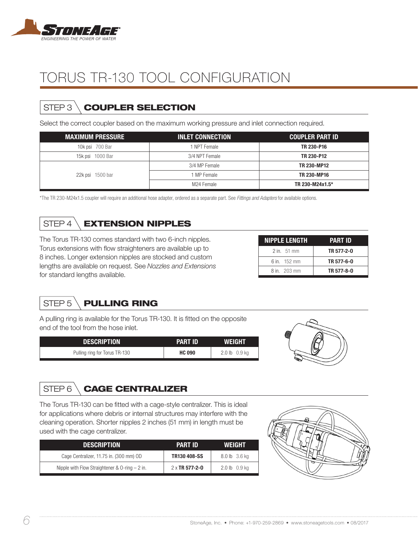

# TORUS TR-130 TOOL CONFIGURATION

## STEP 3 \ COUPLER SELECTION

Select the correct coupler based on the maximum working pressure and inlet connection required.

| <b>MAXIMUM PRESSURE</b> | <b>INLET CONNECTION</b> | <b>COUPLER PART ID</b> |
|-------------------------|-------------------------|------------------------|
| 10k psi 700 Bar         | I NPT Female            | TR 230-P16             |
| 1000 Bar<br>15k psi     | 3/4 NPT Female          | TR 230-P12             |
|                         | 3/4 MP Female           | <b>TR 230-MP12</b>     |
| 22k psi 1500 bar        | 1 MP Female             | <b>TR 230-MP16</b>     |
|                         | M24 Female              | TR 230-M24x1.5*        |

\*The TR 230-M24x1.5 coupler will require an additional hose adapter, ordered as a separate part. See *Fittings and Adapters* for available options.

## STEP 4 \ EXTENSION NIPPLES

The Torus TR-130 comes standard with two 6-inch nipples. Torus extensions with flow straighteners are available up to 8 inches. Longer extension nipples are stocked and custom lengths are available on request. See *Nozzles and Extensions* for standard lengths available.

| <b>NIPPLE LENGTH</b>  | <b>PART ID</b> |
|-----------------------|----------------|
| $2$ in. 51 mm         | TR 577-2-0     |
| 6 in $152 \text{ mm}$ | TR 577-6-0     |
| 8 in 203 mm           | TR 577-8-0     |

## STEP 5 \ PULLING RING

A pulling ring is available for the Torus TR-130. It is fitted on the opposite end of the tool from the hose inlet.

| <b>DESCRIPTION</b>            | PART ID'      | <b>WEIGHT</b> |
|-------------------------------|---------------|---------------|
| Pulling ring for Torus TR-130 | <b>HC 090</b> | 2.0 lb 0.9 kg |



### STEP 6 \ CAGE CENTRALIZER

The Torus TR-130 can be fitted with a cage-style centralizer. This is ideal for applications where debris or internal structures may interfere with the cleaning operation. Shorter nipples 2 inches (51 mm) in length must be used with the cage centralizer.

| <b>DESCRIPTION</b>                                 | PART ID        | <b>WEIGHT</b> |
|----------------------------------------------------|----------------|---------------|
| Cage Centralizer, 11.75 in. (300 mm) OD            | TR130 408-SS   | 8.0 lb 3.6 kg |
| Nipple with Flow Straightener & $0$ -ring $-2$ in. | 2 x TR 577-2-0 | 2.0 lb 0.9 kg |